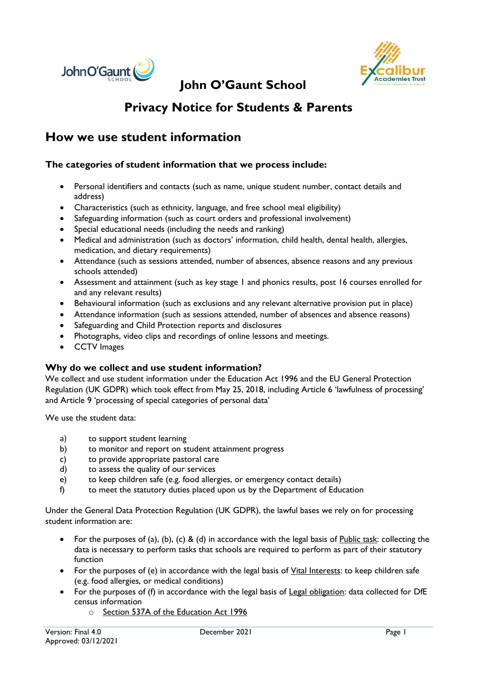



## **John O'Gaunt School**

# **Privacy Notice for Students & Parents**

## **How we use student information**

## **The categories of student information that we process include:**

- Personal identifiers and contacts (such as name, unique student number, contact details and address)
- Characteristics (such as ethnicity, language, and free school meal eligibility)
- Safeguarding information (such as court orders and professional involvement)
- Special educational needs (including the needs and ranking)
- Medical and administration (such as doctors' information, child health, dental health, allergies, medication, and dietary requirements)
- Attendance (such as sessions attended, number of absences, absence reasons and any previous schools attended)
- Assessment and attainment (such as key stage 1 and phonics results, post 16 courses enrolled for and any relevant results)
- Behavioural information (such as exclusions and any relevant alternative provision put in place)
- Attendance information (such as sessions attended, number of absences and absence reasons)
- Safeguarding and Child Protection reports and disclosures
- Photographs, video clips and recordings of online lessons and meetings.
- CCTV Images

#### **Why do we collect and use student information?**

We collect and use student information under the Education Act 1996 and the EU General Protection Regulation (UK GDPR) which took effect from May 25, 2018, including Article 6 'lawfulness of processing' and Article 9 'processing of special categories of personal data'

We use the student data:

- a) to support student learning
- b) to monitor and report on student attainment progress
- c) to provide appropriate pastoral care
- d) to assess the quality of our services
- e) to keep children safe (e.g. food allergies, or emergency contact details)
- f) to meet the statutory duties placed upon us by the Department of Education

Under the General Data Protection Regulation (UK GDPR), the lawful bases we rely on for processing student information are:

- For the purposes of (a), (b), (c) & (d) in accordance with the legal basis of Public task: collecting the data is necessary to perform tasks that schools are required to perform as part of their statutory function
- For the purposes of (e) in accordance with the legal basis of *Yital Interests*: to keep children safe (e.g. food allergies, or medical conditions)
- For the purposes of (f) in accordance with the legal basis of Legal obligation: data collected for DfE census information
	- o Section 537A of the Education Act 1996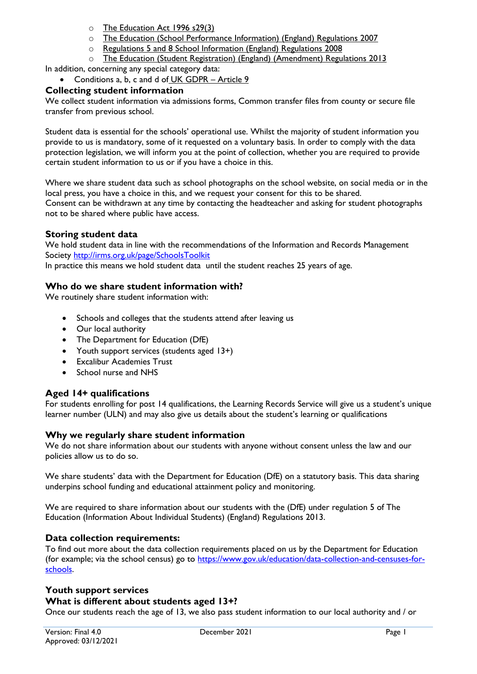- o The Education Act 1996 s29(3)
- o The Education (School Performance Information) (England) Regulations 2007
- o Regulations 5 and 8 School Information (England) Regulations 2008
- o The Education (Student Registration) (England) (Amendment) Regulations 2013

In addition, concerning any special category data:

## • Conditions a, b, c and d of UK GDPR – Article 9

## **Collecting student information**

We collect student information via admissions forms, Common transfer files from county or secure file transfer from previous school.

Student data is essential for the schools' operational use. Whilst the majority of student information you provide to us is mandatory, some of it requested on a voluntary basis. In order to comply with the data protection legislation, we will inform you at the point of collection, whether you are required to provide certain student information to us or if you have a choice in this.

Where we share student data such as school photographs on the school website, on social media or in the local press, you have a choice in this, and we request your consent for this to be shared. Consent can be withdrawn at any time by contacting the headteacher and asking for student photographs not to be shared where public have access.

### **Storing student data**

We hold student data in line with the recommendations of the Information and Records Management Society<http://irms.org.uk/page/SchoolsToolkit>

In practice this means we hold student data until the student reaches 25 years of age.

### **Who do we share student information with?**

We routinely share student information with:

- Schools and colleges that the students attend after leaving us
- Our local authority
- The Department for Education (DfE)
- Youth support services (students aged 13+)
- Excalibur Academies Trust
- School nurse and NHS

## **Aged 14+ qualifications**

For students enrolling for post 14 qualifications, the Learning Records Service will give us a student's unique learner number (ULN) and may also give us details about the student's learning or qualifications

#### **Why we regularly share student information**

We do not share information about our students with anyone without consent unless the law and our policies allow us to do so.

We share students' data with the Department for Education (DfE) on a statutory basis. This data sharing underpins school funding and educational attainment policy and monitoring.

We are required to share information about our students with the (DfE) under regulation 5 of The Education (Information About Individual Students) (England) Regulations 2013.

## **Data collection requirements:**

To find out more about the data collection requirements placed on us by the Department for Education (for example; via the school census) go to [https://www.gov.uk/education/data-collection-and-censuses-for](https://www.gov.uk/education/data-collection-and-censuses-for-schools)[schools.](https://www.gov.uk/education/data-collection-and-censuses-for-schools)

## **Youth support services**

#### **What is different about students aged 13+?**

Once our students reach the age of 13, we also pass student information to our local authority and / or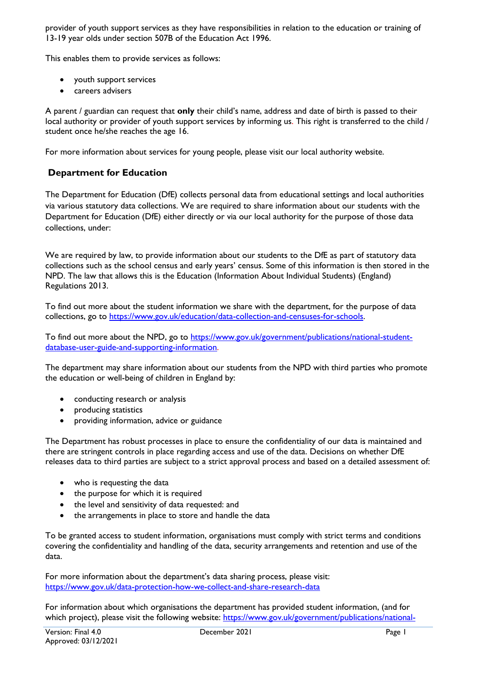provider of youth support services as they have responsibilities in relation to the education or training of 13-19 year olds under section 507B of the Education Act 1996.

This enables them to provide services as follows:

- youth support services
- careers advisers

A parent / guardian can request that **only** their child's name, address and date of birth is passed to their local authority or provider of youth support services by informing us. This right is transferred to the child / student once he/she reaches the age 16.

For more information about services for young people, please visit our local authority website.

## **Department for Education**

The Department for Education (DfE) collects personal data from educational settings and local authorities via various statutory data collections. We are required to share information about our students with the Department for Education (DfE) either directly or via our local authority for the purpose of those data collections, under:

We are required by law, to provide information about our students to the DfE as part of statutory data collections such as the school census and early years' census. Some of this information is then stored in the NPD. The law that allows this is the Education (Information About Individual Students) (England) Regulations 2013.

To find out more about the student information we share with the department, for the purpose of data collections, go to [https://www.gov.uk/education/data-collection-and-censuses-for-schools.](https://www.gov.uk/education/data-collection-and-censuses-for-schools)

To find out more about the NPD, go to [https://www.gov.uk/government/publications/national-student](https://www.gov.uk/government/publications/national-pupil-database-user-guide-and-supporting-information)[database-user-guide-and-supporting-information.](https://www.gov.uk/government/publications/national-pupil-database-user-guide-and-supporting-information)

The department may share information about our students from the NPD with third parties who promote the education or well-being of children in England by:

- conducting research or analysis
- producing statistics
- providing information, advice or guidance

The Department has robust processes in place to ensure the confidentiality of our data is maintained and there are stringent controls in place regarding access and use of the data. Decisions on whether DfE releases data to third parties are subject to a strict approval process and based on a detailed assessment of:

- who is requesting the data
- the purpose for which it is required
- the level and sensitivity of data requested: and
- the arrangements in place to store and handle the data

To be granted access to student information, organisations must comply with strict terms and conditions covering the confidentiality and handling of the data, security arrangements and retention and use of the data.

For more information about the department's data sharing process, please visit: <https://www.gov.uk/data-protection-how-we-collect-and-share-research-data>

For information about which organisations the department has provided student information, (and for which project), please visit the following website: [https://www.gov.uk/government/publications/national-](https://www.gov.uk/government/publications/national-pupil-database-requests-received)